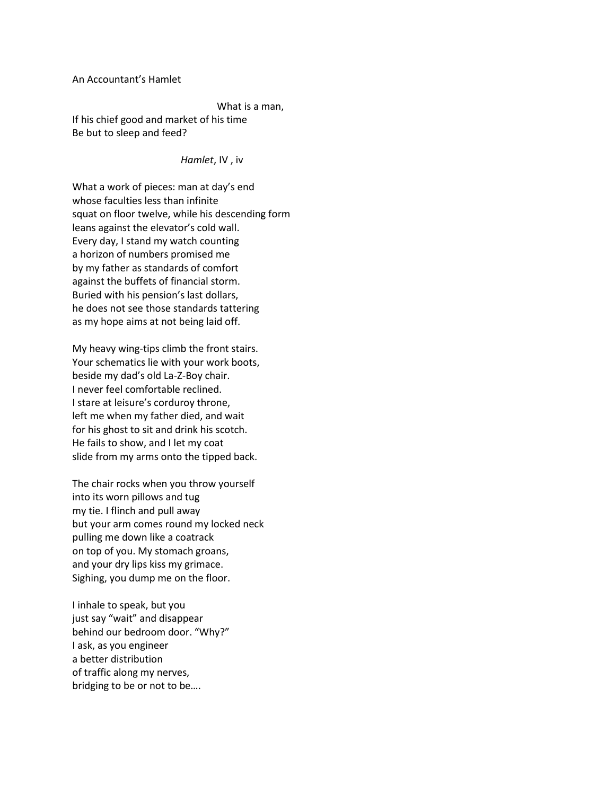An Accountant's Hamlet

What is a man,

If his chief good and market of his time Be but to sleep and feed?

## *Hamlet*, IV , iv

What a work of pieces: man at day's end whose faculties less than infinite squat on floor twelve, while his descending form leans against the elevator's cold wall. Every day, I stand my watch counting a horizon of numbers promised me by my father as standards of comfort against the buffets of financial storm. Buried with his pension's last dollars, he does not see those standards tattering as my hope aims at not being laid off.

My heavy wing-tips climb the front stairs. Your schematics lie with your work boots, beside my dad's old La-Z-Boy chair. I never feel comfortable reclined. I stare at leisure's corduroy throne, left me when my father died, and wait for his ghost to sit and drink his scotch. He fails to show, and I let my coat slide from my arms onto the tipped back.

The chair rocks when you throw yourself into its worn pillows and tug my tie. I flinch and pull away but your arm comes round my locked neck pulling me down like a coatrack on top of you. My stomach groans, and your dry lips kiss my grimace. Sighing, you dump me on the floor.

I inhale to speak, but you just say "wait" and disappear behind our bedroom door. "Why?" I ask, as you engineer a better distribution of traffic along my nerves, bridging to be or not to be….